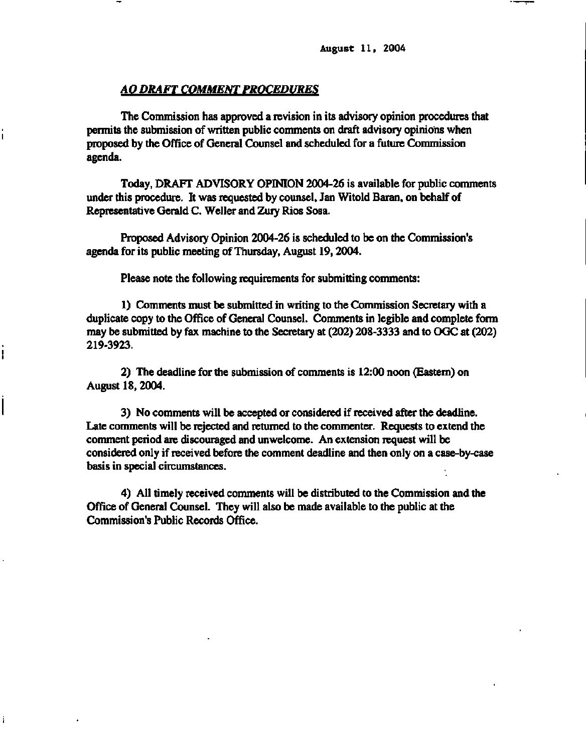### *AO DRAFT COMMENT PROCEDURES*

I

**The Commission has approved a revision in its advisory opinion procedures that permits the submission of written public comments on draft advisory opinions when proposed by the Office of General Counsel and scheduled for a future Commission agenda.** 

**Today, DRAFT ADVISORY OPINION 2004-26 is available for public comments under this procedure. It was requested by counsel, Jan Witold Baran, on behalf of Representative Gerald C. Weller and Zury Rios Sosa.** 

**Proposed Advisory Opinion 2004-26 is scheduled to be on the Commission's agenda for its public meeting of Thursday, August 19,2004.** 

**Please note the following requirements for submitting comments:** 

**1) Comments must be submitted in writing to the Commission Secretary with a duplicate copy to the Office of General Counsel. Comments in legible and complete form may be submitted by fax machine to the Secretary at (202) 208-3333 and to OGC at (202) 219-3923.** 

**2) The deadline for the submission of comments is 12:00 noon (Eastern) on August 18, 2004.** 

**3) No comments will be accepted or considered if received after the deadline. Late comments will be rejected and returned to the commenter. Requests to extend the comment period are discouraged and unwelcome. An extension request will be considered only if received before the comment deadline and then only on a case-by-case basis in special circumstances.** 

**4) All timely received comments will be distributed to the Commission and the Office of General Counsel. They will also be made available to the public at the Commission's Public Records Office.**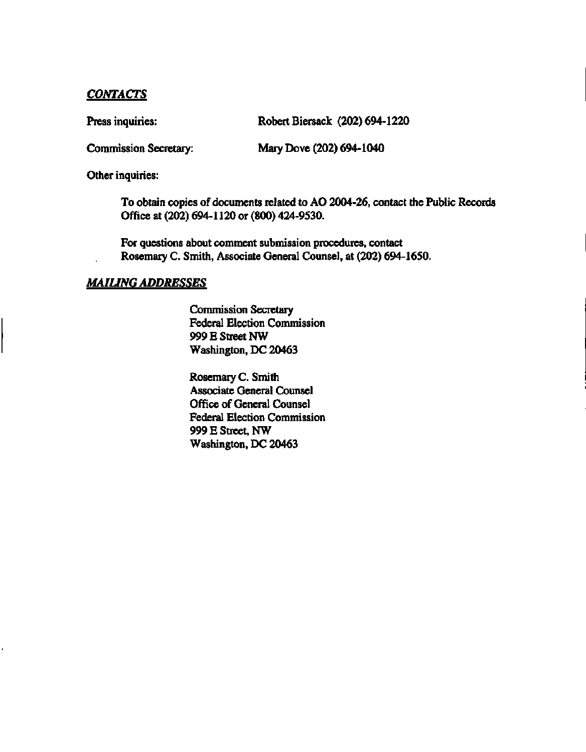# *CONTACTS*

Press inquiries: Robert Biersack (202) 694-1220

**Commission Secretary: Mary Dove (202) 694-1040** 

**Other inquiries:** 

**To obtain copies of documents related to AO 2004-26, contact the Public Records Office at (202) 694-1120 or (800) 424-9530.** 

**For questions about comment submission procedures, contact Rosemary C. Smith, Associate General Counsel, at (202) 694-1650.** 

## *MAILING ADDRESSES*

**Commission Secretary Federal Election Commission 999 E Street NW Washington, DC 20463** 

**Rosemary C. Smith Associate General Counsel Office of General Counsel Federal Election Commission 999 E Street, NW Washington, DC 20463**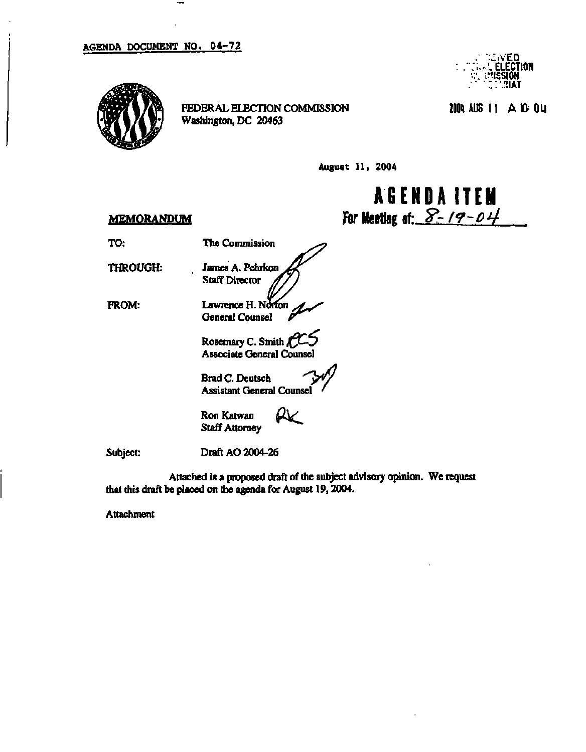#### AGENDA DOCUMENT NO. 04-72



FEDERAL ELECTION COMMISSION Washington, DC 20463



... . . . . .

**AGEND A ITEM** 

For Meeting of:  $8 - 19 - 04$ 

August 11, 2004

#### **MEMORANDUM**

TO:

THROUGH:

FROM:

James A. Pehrkon Staff Director Lawrence H. Norton General Counsel

The Commission

Rosemary C. Smith Associate General Counsel

Brad C. Deutsch Assistant General Counsel '

Ron Katwan Staff Attorney  $\alpha$ 

Subject:

Draft AO 2004-26

Attached is a proposed draft of the subject advisory opinion. We request that this draft be placed on the agenda for August 19,2004.

**Attachment**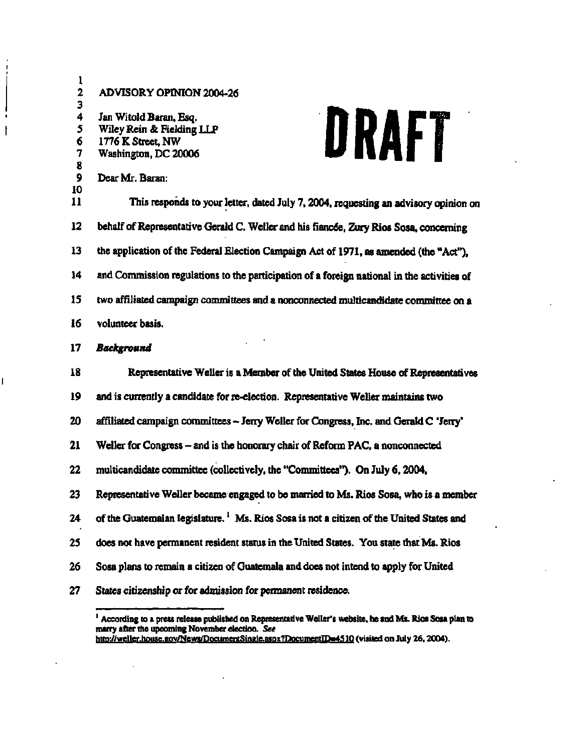**1 2 ADVISORY OPINION 2004-26 3 4 Jan Witold Baran, Esq.**  DRAFT **5 Wiley Rein & Fielding LLP 6 1776 K Street, NW 7 Washington, DC 20006 8 9 Dear Mr. Baran: 10**   $\mathbf{11}$ **11 This responds to your letter, dated July 7,2004, requesting an advisory opinion on**   $12$ behalf of Representative Gerald C. Weller and his fiancée, Zury Rios Sosa, concerning **12 behalf of Representative Gerald C. Weller and his fiancde, Zury Rios Sosa, concerning**   $13<sup>°</sup>$ **13 the application of the Federal Election Campaign Act of 1971, as amended (the "Act"), 14 and Commission regulations to the participation of a foreign national in the activities of**   $14$ 15 **15 two affiliated campaign committees and a nonconnected multicandidate committee on a**  16 volunteer basis. 17 Background **17** *Background*  18 Representative Weller is a Member of the United States House of Representatives **18 Representative Weller is a Member of the United States House of Representatives**  19 and is currently a candidate for re-election. Representative Weller maintains two **19 and is currently a candidate for re-election. Representative Weller maintains two**  20 affiliated campaign committees - Jerry Weller for Congress, Inc. and Gerald C 'Jerry' **20 affiliated campaign committees - Jerry Weller for Congress, Inc. and Gerald C 'Jerry'**  21 Weller for Congress – and is the honorary chair of Reform PAC, a nonconnected **21 Weller for Congress - and is the honorary chair of Reform PAC, a nonconnected**  22 **22 multicandidate committee (collectively, the "Committees"). On July 6,2004,**  23 Representative Weller became engaged to be married to Ms. Rios Sosa, who is a member **23 Representative Weller became engaged to be married to Ms. Rios Sosa, who is a member 24 of the Guatemalan legislature.***<sup>l</sup>* 25 does not have permanent resident status in the United States. You state that Ms. Rios **25 does not have permanent resident status in the United States. You state that Ms. Rios 26 Sosa plans to remain a citizen of Guatemala and does not intend to apply for United 27 States citizenship or for admission for permanent residence.** 

**<sup>1</sup> According to a press release published on Representative Welter's website, he and Ms. Rios Sosa plan to marry after the upcoming November election.** *See*  **<http://weller.house.gov/News/DocumentSingle.asDx7DocumentIDa4510>(visited on July 26,2004).**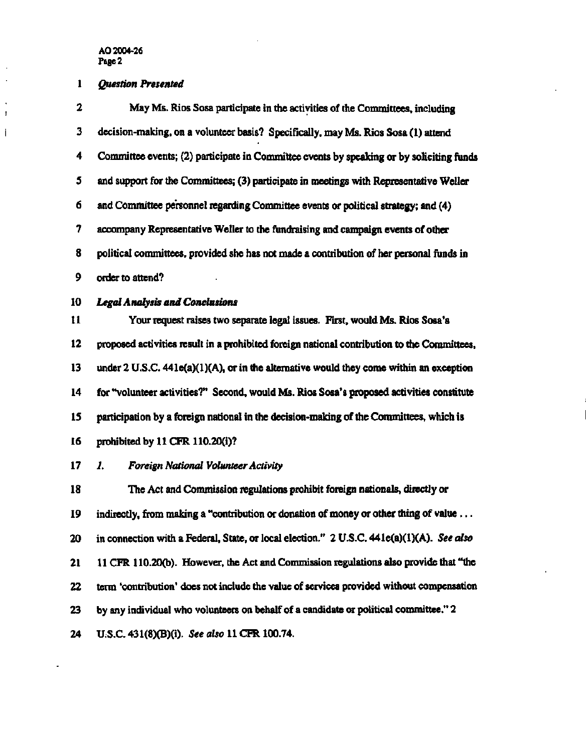$\bar{\beta}$  $\Box$ 

 $\bar{\mathbf{r}}$  $\mathbf{I}$  $\mathbf{i}$ 

| l  | <b>Question Presented</b>                                                                     |
|----|-----------------------------------------------------------------------------------------------|
| 2  | May Ms. Rios Sosa participate in the activities of the Committees, including                  |
| 3  | decision-making, on a volunteer basis? Specifically, may Ms. Rios Sosa (1) attend             |
| 4  | Committee events; (2) participate in Committee events by speaking or by soliciting funds      |
| 5  | and support for the Committees; (3) participate in meetings with Representative Weller        |
| 6  | and Committee personnel regarding Committee events or political strategy; and (4)             |
| 7  | accompany Representative Weller to the fundraising and campaign events of other               |
| 8  | political committees, provided she has not made a contribution of her personal funds in       |
| 9  | order to attend?                                                                              |
| 10 | <b>Legal Analysis and Conclusions</b>                                                         |
| 11 | Your request raises two separate legal issues. First, would Ms. Rios Sosa's                   |
| 12 | proposed activities result in a prohibited foreign national contribution to the Committees,   |
| 13 | under $2$ U.S.C. 441 $e(a)(1)(A)$ , or in the alternative would they come within an exception |
| 14 | for "volunteer activities?" Second, would Ms. Rios Sosa's proposed activities constitute      |
| 15 | participation by a foreign national in the decision-making of the Committees, which is        |
| 16 | prohibited by 11 CFR 110.20(i)?                                                               |
| 17 | Foreign National Volunteer Activity<br>1.                                                     |
| 18 | The Act and Commission regulations prohibit foreign nationals, directly or                    |
| 19 | indirectly, from making a "contribution or donation of money or other thing of value          |
| 20 | in connection with a Federal, State, or local election." 2 U.S.C. 441e(a)(1)(A). See also     |
| 21 | 11 CFR 110.20(b). However, the Act and Commission regulations also provide that "the          |
| 22 | term 'contribution' does not include the value of services provided without compensation      |
| 23 | by any individual who volunteers on behalf of a candidate or political committee." 2          |

ä,

**24 U;S.C. 43 l(8)(B)(i).** *See also* **11 CFR 100.74.** 

 $\hat{\mathbf{r}}$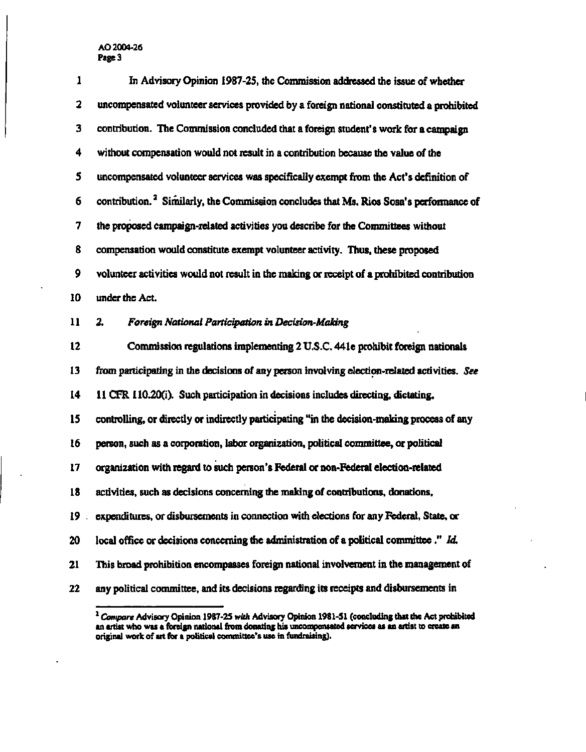| $\mathbf{1}$ | In Advisory Opinion 1987-25, the Commission addressed the issue of whether                         |
|--------------|----------------------------------------------------------------------------------------------------|
| 2            | uncompensated volunteer services provided by a foreign national constituted a prohibited           |
| 3            | contribution. The Commission concluded that a foreign student's work for a campaign                |
| 4            | without compensation would not result in a contribution because the value of the                   |
| 5            | uncompensated volunteer services was specifically exempt from the Act's definition of              |
| 6            | contribution. <sup>2</sup> Similarly, the Commission concludes that Ms. Rios Sosa's performance of |
| 7            | the proposed campaign-related activities you describe for the Committees without                   |
| 8            | compensation would constitute exempt volunteer activity. Thus, these proposed                      |
| 9            | volunteer activities would not result in the making or receipt of a prohibited contribution        |
| 10           | under the Act.                                                                                     |
| 11           | Foreign National Participation in Decision-Making<br>2.                                            |
| 12           | Commission regulations implementing 2 U.S.C. 441e prohibit foreign nationals                       |
| 13           | from participating in the decisions of any person involving election-related activities. See       |
| 14           | 11 CFR 110.20(i). Such participation in decisions includes directing, dictating,                   |
| 15           | controlling, or directly or indirectly participating "in the decision-making process of any        |
| 16           | person, such as a corporation, labor organization, political committee, or political               |
| 17           | organization with regard to such person's Federal or non-Federal election-related                  |
| 18           | activities, such as decisions concerning the making of contributions, donations,                   |
| 19           | expenditures, or disbursements in connection with elections for any Federal, State, or             |
| 20           | local office or decisions concerning the administration of a political committee." Id.             |
| 21           | This broad prohibition encompasses foreign national involvement in the management of               |
| 22           | any political committee, and its decisions regarding its receipts and disbursements in             |

**<sup>2</sup>**  *Compare* **Advisory Opinion 1987-2S** *with* **Advisory Opinion 1981-51 (concluding that the Act prohibited an artist who was a foreign national from donating his uncompensated services as an artist to create an original work of art for a political committee's use in fundraising).**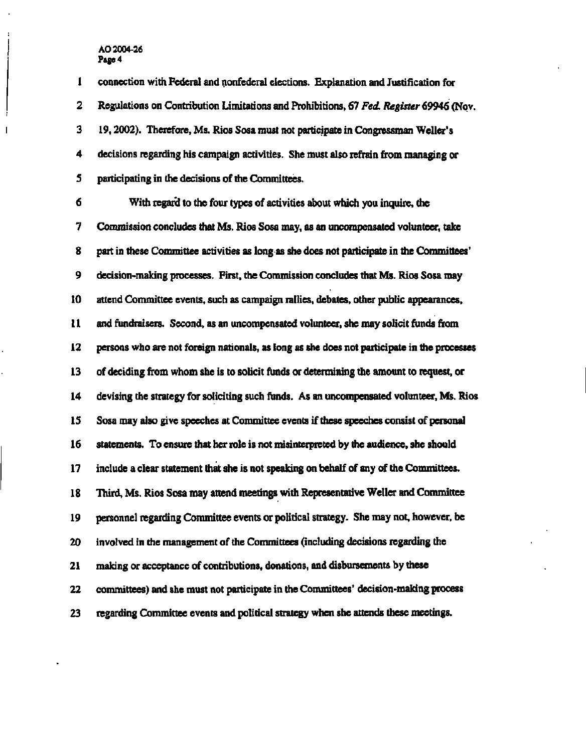$\overline{1}$ 

**1 connection with Federal and nonfederal elections. Explanation and Justification for 2 Regulations on Contribution Limitations and Prohibitions, 67** *Fed. Register* **69946 (Nov. 3 19,2002). Therefore, Ms. Rios Sosa must not participate in Congressman Welter's 4 decisions regarding his campaign activities. She must also refrain from managing or 5 participating in the decisions of the Committees. 6 With regard to the four types of activities about which you inquire, the 7 Commission concludes that Ms. Rios Sosa may, as an uncompensated volunteer, take 8 part in these Committee activities as long as she does not participate in the Committees' 9 decision-making processes. First, the Commission concludes that Ms. Rios Sosa may 10 attend Committee events, such as campaign rallies, debates, other public appearances, 11 and fundraisers. Second, as an uncompensated volunteer, she may solicit funds from 12 persons who are not foreign nationals, as long as she does not participate in the processes 13 of deciding from whom she is to solicit funds or determining the amount to request, or 14 devising the strategy for soliciting such funds. As an uncompensated volunteer, Ms. Rios 15 Sosa may also give speeches at Committee events if these speeches consist of personal 16 statements. To ensure that her role is not misinterpreted by the audience, she should 17 include a clear statement that she is not speaking on behalf of any of the Committees. 18 Third, Ms. Rios Sosa may attend meetings with Representative Weller and Committee 19 personnel regarding Committee events or political strategy. She may not, however, be 20 involved in the management of the Committees (including decisions regarding the 21 making or acceptance of contributions, donations, and disbursements by these 22 committees) and she must not participate in the Committees' decision-making process 23 regarding Committee events and political strategy when she attends these meetings.**